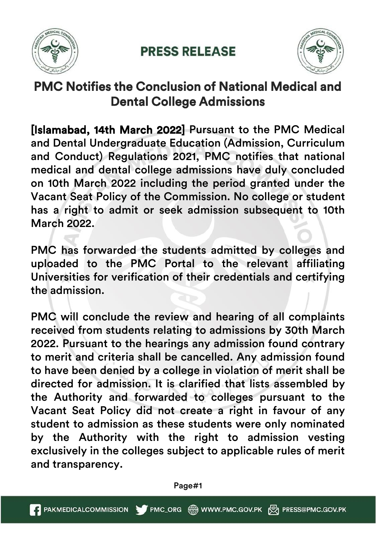

## **PRESS RELEASE**



## PMC Notifies the Conclusion of National Medical and Dental College Admissions

[Islamabad, 14th March 2022] Pursuant to the PMC Medical and Dental Undergraduate Education (Admission, Curriculum and Conduct) Regulations 2021, PMC notifies that national medical and dental college admissions have duly concluded on 10th March 2022 including the period granted under the Vacant Seat Policy of the Commission. No college or student has a right to admit or seek admission subsequent to 10th March 2022.

PMC has forwarded the students admitted by colleges and uploaded to the PMC Portal to the relevant affiliating Universities for verification of their credentials and certifying the admission.

PMC will conclude the review and hearing of all complaints received from students relating to admissions by 30th March 2022. Pursuant to the hearings any admission found contrary to merit and criteria shall be cancelled. Any admission found to have been denied by a college in violation of merit shall be directed for admission. It is clarified that lists assembled by the Authority and forwarded to colleges pursuant to the Vacant Seat Policy did not create a right in favour of any student to admission as these students were only nominated by the Authority with the right to admission vesting exclusively in the colleges subject to applicable rules of merit and transparency.

Page#1